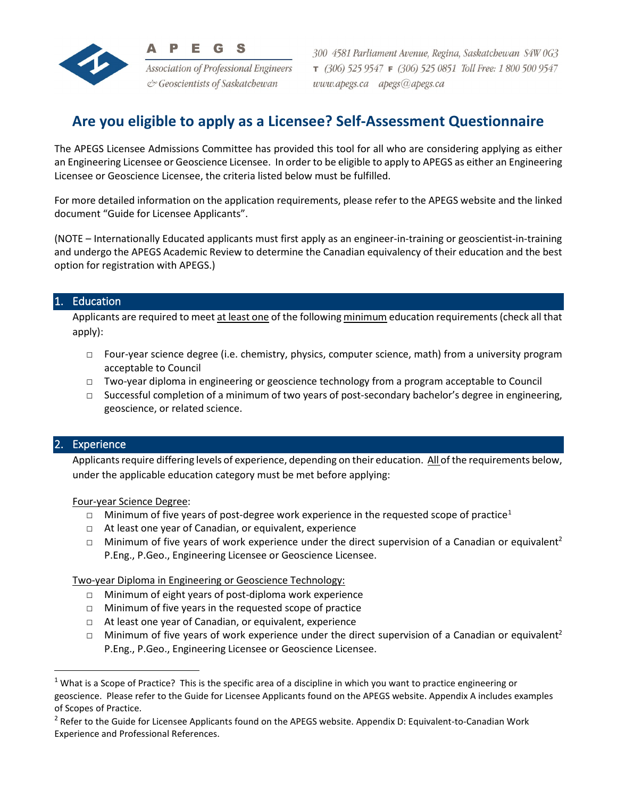

**Association of Professional Engineers** & Geoscientists of Saskatchewan

300 4581 Parliament Avenue, Regina, Saskatchewan S4W 0G3  $7$  (306) 525 9547  $F$  (306) 525 0851 Toll Free: 1 800 500 9547 www.apegs.ca apegs@apegs.ca

# **Are you eligible to apply as a Licensee? Self-Assessment Questionnaire**

The APEGS Licensee Admissions Committee has provided this tool for all who are considering applying as either an Engineering Licensee or Geoscience Licensee. In order to be eligible to apply to APEGS as either an Engineering Licensee or Geoscience Licensee, the criteria listed below must be fulfilled.

For more detailed information on the application requirements, please refer to the APEGS website and the linked document "Guide for Licensee Applicants".

(NOTE – Internationally Educated applicants must first apply as an engineer-in-training or geoscientist-in-training and undergo the APEGS Academic Review to determine the Canadian equivalency of their education and the best option for registration with APEGS.)

## **Education**

Applicants are required to meet at least one of the following minimum education requirements (check all that apply):

- □ Four-year science degree (i.e. chemistry, physics, computer science, math) from a university program acceptable to Council
- □ Two-year diploma in engineering or geoscience technology from a program acceptable to Council
- $\Box$  Successful completion of a minimum of two years of post-secondary bachelor's degree in engineering, geoscience, or related science.

## 2. Experience

Applicants require differing levels of experience, depending on their education. All of the requirements below, under the applicable education category must be met before applying:

Four-year Science Degree:

- **I** Minimum of five years of post-degree work experience in the requested scope of practice<sup>[1](#page-0-0)</sup>
- □ At least one year of Canadian, or equivalent, experience
- □ Minimum of five years of work experience under the direct supervision of a Canadian or equivalent<sup>2</sup> P.Eng., P.Geo., Engineering Licensee or Geoscience Licensee.

Two-year Diploma in Engineering or Geoscience Technology:

- □ Minimum of eight years of post-diploma work experience
- □ Minimum of five years in the requested scope of practice
- □ At least one year of Canadian, or equivalent, experience
- □ Minimum of five years of work experience under the direct supervision of a Canadian or equivalent<sup>2</sup> P.Eng., P.Geo., Engineering Licensee or Geoscience Licensee.

<span id="page-0-0"></span> $1$  What is a Scope of Practice? This is the specific area of a discipline in which you want to practice engineering or geoscience. Please refer to the Guide for Licensee Applicants found on the APEGS website. Appendix A includes examples of Scopes of Practice.

<sup>&</sup>lt;sup>2</sup> Refer to the Guide for Licensee Applicants found on the APEGS website. Appendix D: Equivalent-to-Canadian Work Experience and Professional References.